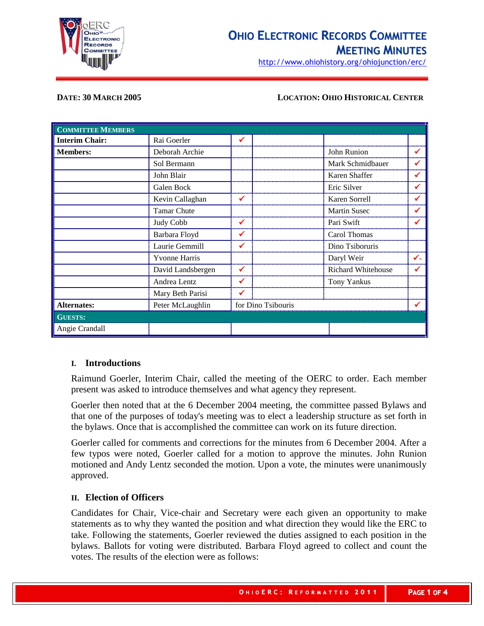

http://www.ohiohistory.org/ohiojunction/erc/

### **DATE: 30 MARCH 2005 LOCATION: OHIO HISTORICAL CENTER**

| <b>COMMITTEE MEMBERS</b> |                      |                    |                           |    |
|--------------------------|----------------------|--------------------|---------------------------|----|
| <b>Interim Chair:</b>    | Rai Goerler          | ✓                  |                           |    |
| <b>Members:</b>          | Deborah Archie       |                    | John Runion               |    |
|                          | Sol Bermann          |                    | Mark Schmidbauer          |    |
|                          | John Blair           |                    | Karen Shaffer             |    |
|                          | Galen Bock           |                    | Eric Silver               |    |
|                          | Kevin Callaghan      | ✔                  | Karen Sorrell             | ✔  |
|                          | <b>Tamar Chute</b>   |                    | <b>Martin Susec</b>       | ✔  |
|                          | Judy Cobb            | ✔                  | Pari Swift                |    |
|                          | Barbara Floyd        | ✔                  | Carol Thomas              |    |
|                          | Laurie Gemmill       | ✔                  | Dino Tsiboruris           |    |
|                          | <b>Yvonne Harris</b> |                    | Daryl Weir                | ✓- |
|                          | David Landsbergen    | ✔                  | <b>Richard Whitehouse</b> |    |
|                          | Andrea Lentz         | ✔                  | Tony Yankus               |    |
|                          | Mary Beth Parisi     |                    |                           |    |
| <b>Alternates:</b>       | Peter McLaughlin     | for Dino Tsibouris |                           |    |
| <b>GUESTS:</b>           |                      |                    |                           |    |
| Angie Crandall           |                      |                    |                           |    |

### **I. Introductions**

Raimund Goerler, Interim Chair, called the meeting of the OERC to order. Each member present was asked to introduce themselves and what agency they represent.

Goerler then noted that at the 6 December 2004 meeting, the committee passed Bylaws and that one of the purposes of today's meeting was to elect a leadership structure as set forth in the bylaws. Once that is accomplished the committee can work on its future direction.

Goerler called for comments and corrections for the minutes from 6 December 2004. After a few typos were noted, Goerler called for a motion to approve the minutes. John Runion motioned and Andy Lentz seconded the motion. Upon a vote, the minutes were unanimously approved.

## **II. Election of Officers**

Candidates for Chair, Vice-chair and Secretary were each given an opportunity to make statements as to why they wanted the position and what direction they would like the ERC to take. Following the statements, Goerler reviewed the duties assigned to each position in the bylaws. Ballots for voting were distributed. Barbara Floyd agreed to collect and count the votes. The results of the election were as follows: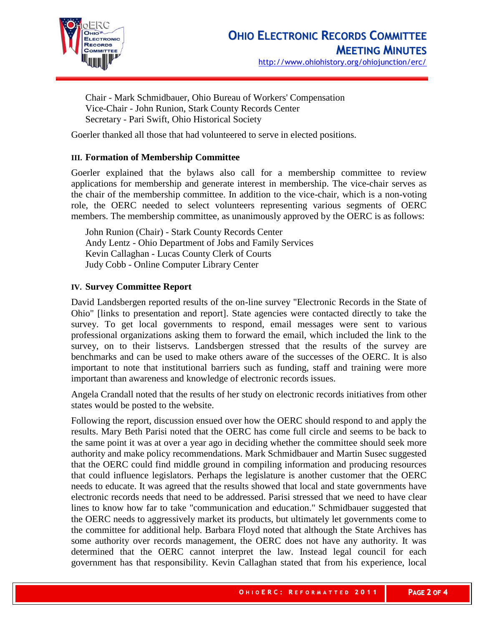

Chair - Mark Schmidbauer, Ohio Bureau of Workers' Compensation Vice-Chair - John Runion, Stark County Records Center Secretary - Pari Swift, Ohio Historical Society

Goerler thanked all those that had volunteered to serve in elected positions.

# **III. Formation of Membership Committee**

Goerler explained that the bylaws also call for a membership committee to review applications for membership and generate interest in membership. The vice-chair serves as the chair of the membership committee. In addition to the vice-chair, which is a non-voting role, the OERC needed to select volunteers representing various segments of OERC members. The membership committee, as unanimously approved by the OERC is as follows:

John Runion (Chair) - Stark County Records Center Andy Lentz - Ohio Department of Jobs and Family Services Kevin Callaghan - Lucas County Clerk of Courts Judy Cobb - Online Computer Library Center

## **IV. Survey Committee Report**

David Landsbergen reported results of the on-line survey "Electronic Records in the State of Ohio" [links to presentation and report]. State agencies were contacted directly to take the survey. To get local governments to respond, email messages were sent to various professional organizations asking them to forward the email, which included the link to the survey, on to their listservs. Landsbergen stressed that the results of the survey are benchmarks and can be used to make others aware of the successes of the OERC. It is also important to note that institutional barriers such as funding, staff and training were more important than awareness and knowledge of electronic records issues.

Angela Crandall noted that the results of her study on electronic records initiatives from other states would be posted to the website.

Following the report, discussion ensued over how the OERC should respond to and apply the results. Mary Beth Parisi noted that the OERC has come full circle and seems to be back to the same point it was at over a year ago in deciding whether the committee should seek more authority and make policy recommendations. Mark Schmidbauer and Martin Susec suggested that the OERC could find middle ground in compiling information and producing resources that could influence legislators. Perhaps the legislature is another customer that the OERC needs to educate. It was agreed that the results showed that local and state governments have electronic records needs that need to be addressed. Parisi stressed that we need to have clear lines to know how far to take "communication and education." Schmidbauer suggested that the OERC needs to aggressively market its products, but ultimately let governments come to the committee for additional help. Barbara Floyd noted that although the State Archives has some authority over records management, the OERC does not have any authority. It was determined that the OERC cannot interpret the law. Instead legal council for each government has that responsibility. Kevin Callaghan stated that from his experience, local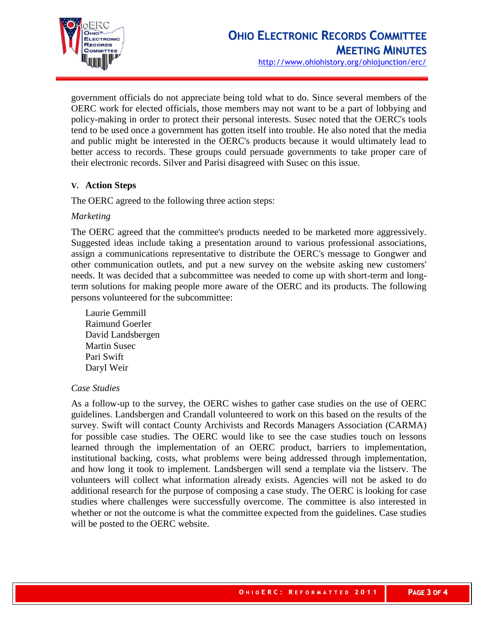

http://www.ohiohistory.org/ohiojunction/erc/

government officials do not appreciate being told what to do. Since several members of the OERC work for elected officials, those members may not want to be a part of lobbying and policy-making in order to protect their personal interests. Susec noted that the OERC's tools tend to be used once a government has gotten itself into trouble. He also noted that the media and public might be interested in the OERC's products because it would ultimately lead to better access to records. These groups could persuade governments to take proper care of their electronic records. Silver and Parisi disagreed with Susec on this issue.

## **V. Action Steps**

The OERC agreed to the following three action steps:

## *Marketing*

The OERC agreed that the committee's products needed to be marketed more aggressively. Suggested ideas include taking a presentation around to various professional associations, assign a communications representative to distribute the OERC's message to Gongwer and other communication outlets, and put a new survey on the website asking new customers' needs. It was decided that a subcommittee was needed to come up with short-term and longterm solutions for making people more aware of the OERC and its products. The following persons volunteered for the subcommittee:

Laurie Gemmill Raimund Goerler David Landsbergen Martin Susec Pari Swift Daryl Weir

### *Case Studies*

As a follow-up to the survey, the OERC wishes to gather case studies on the use of OERC guidelines. Landsbergen and Crandall volunteered to work on this based on the results of the survey. Swift will contact County Archivists and Records Managers Association (CARMA) for possible case studies. The OERC would like to see the case studies touch on lessons learned through the implementation of an OERC product, barriers to implementation, institutional backing, costs, what problems were being addressed through implementation, and how long it took to implement. Landsbergen will send a template via the listserv. The volunteers will collect what information already exists. Agencies will not be asked to do additional research for the purpose of composing a case study. The OERC is looking for case studies where challenges were successfully overcome. The committee is also interested in whether or not the outcome is what the committee expected from the guidelines. Case studies will be posted to the OERC website.